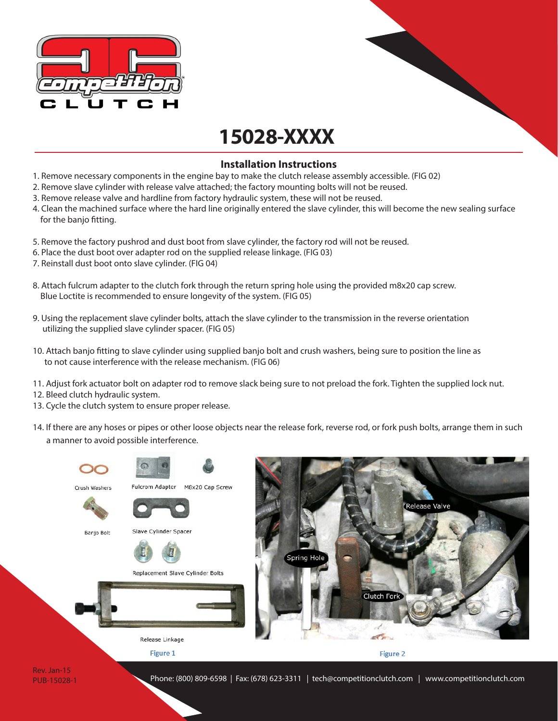

## **15028-XXXX**

## **Installation Instructions**

- 1. Remove necessary components in the engine bay to make the clutch release assembly accessible. (FIG 02)
- 2. Remove slave cylinder with release valve attached; the factory mounting bolts will not be reused.
- 3. Remove release valve and hardline from factory hydraulic system, these will not be reused.
- 4. Clean the machined surface where the hard line originally entered the slave cylinder, this will become the new sealing surface for the banjo fitting.
- 5. Remove the factory pushrod and dust boot from slave cylinder, the factory rod will not be reused.
- 6. Place the dust boot over adapter rod on the supplied release linkage. (FIG 03)
- 7. Reinstall dust boot onto slave cylinder. (FIG 04)
- 8. Attach fulcrum adapter to the clutch fork through the return spring hole using the provided m8x20 cap screw. Blue Loctite is recommended to ensure longevity of the system. (FIG 05)
- 9. Using the replacement slave cylinder bolts, attach the slave cylinder to the transmission in the reverse orientation utilizing the supplied slave cylinder spacer. (FIG 05)
- 10. Attach banjo fitting to slave cylinder using supplied banjo bolt and crush washers, being sure to position the line as to not cause interference with the release mechanism. (FIG 06)
- 11. Adjust fork actuator bolt on adapter rod to remove slack being sure to not preload the fork. Tighten the supplied lock nut.
- 12. Bleed clutch hydraulic system.
- 13. Cycle the clutch system to ensure proper release.
- 14. If there are any hoses or pipes or other loose objects near the release fork, reverse rod, or fork push bolts, arrange them in such a manner to avoid possible interference.